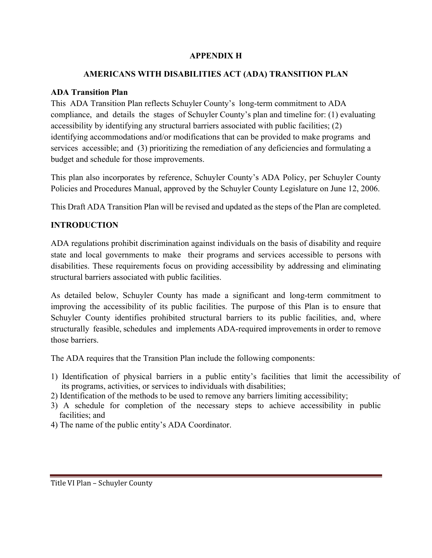#### **APPENDIX H**

#### **AMERICANS WITH DISABILITIES ACT (ADA) TRANSITION PLAN**

## **ADA Transition Plan**

This ADA Transition Plan reflects Schuyler County's long-term commitment to ADA compliance, and details the stages of Schuyler County's plan and timeline for: (1) evaluating accessibility by identifying any structural barriers associated with public facilities; (2) identifying accommodations and/or modifications that can be provided to make programs and services accessible; and (3) prioritizing the remediation of any deficiencies and formulating a budget and schedule for those improvements.

This plan also incorporates by reference, Schuyler County's ADA Policy, per Schuyler County Policies and Procedures Manual, approved by the Schuyler County Legislature on June 12, 2006.

This Draft ADA Transition Plan will be revised and updated as the steps of the Plan are completed.

# **INTRODUCTION**

ADA regulations prohibit discrimination against individuals on the basis of disability and require state and local governments to make their programs and services accessible to persons with disabilities. These requirements focus on providing accessibility by addressing and eliminating structural barriers associated with public facilities.

As detailed below, Schuyler County has made a significant and long-term commitment to improving the accessibility of its public facilities. The purpose of this Plan is to ensure that Schuyler County identifies prohibited structural barriers to its public facilities, and, where structurally feasible, schedules and implements ADA-required improvements in order to remove those barriers.

The ADA requires that the Transition Plan include the following components:

- 1) Identification of physical barriers in a public entity's facilities that limit the accessibility of its programs, activities, or services to individuals with disabilities;
- 2) Identification of the methods to be used to remove any barriers limiting accessibility;
- 3) A schedule for completion of the necessary steps to achieve accessibility in public facilities; and
- 4) The name of the public entity's ADA Coordinator.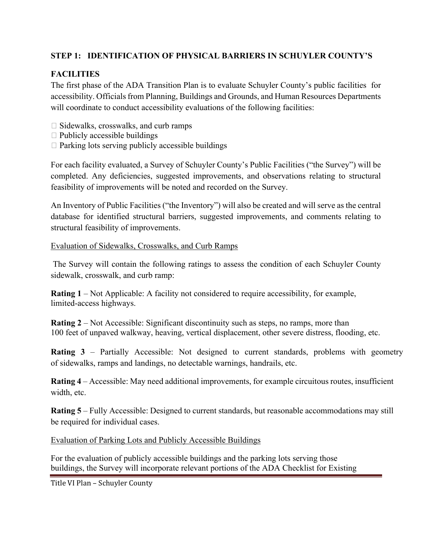## **STEP 1: IDENTIFICATION OF PHYSICAL BARRIERS IN SCHUYLER COUNTY'S**

# **FACILITIES**

The first phase of the ADA Transition Plan is to evaluate Schuyler County's public facilities for accessibility. Officials from Planning, Buildings and Grounds, and Human Resources Departments will coordinate to conduct accessibility evaluations of the following facilities:

- $\Box$  Sidewalks, crosswalks, and curb ramps
- $\Box$  Publicly accessible buildings
- $\Box$  Parking lots serving publicly accessible buildings

For each facility evaluated, a Survey of Schuyler County's Public Facilities ("the Survey") will be completed. Any deficiencies, suggested improvements, and observations relating to structural feasibility of improvements will be noted and recorded on the Survey.

An Inventory of Public Facilities ("the Inventory") will also be created and will serve as the central database for identified structural barriers, suggested improvements, and comments relating to structural feasibility of improvements.

#### Evaluation of Sidewalks, Crosswalks, and Curb Ramps

 The Survey will contain the following ratings to assess the condition of each Schuyler County sidewalk, crosswalk, and curb ramp:

**Rating 1** – Not Applicable: A facility not considered to require accessibility, for example, limited-access highways.

**Rating 2** – Not Accessible: Significant discontinuity such as steps, no ramps, more than 100 feet of unpaved walkway, heaving, vertical displacement, other severe distress, flooding, etc.

**Rating 3** – Partially Accessible: Not designed to current standards, problems with geometry of sidewalks, ramps and landings, no detectable warnings, handrails, etc.

**Rating 4** – Accessible: May need additional improvements, for example circuitous routes, insufficient width, etc.

**Rating 5** – Fully Accessible: Designed to current standards, but reasonable accommodations may still be required for individual cases.

Evaluation of Parking Lots and Publicly Accessible Buildings

For the evaluation of publicly accessible buildings and the parking lots serving those buildings, the Survey will incorporate relevant portions of the ADA Checklist for Existing

Title VI Plan – Schuyler County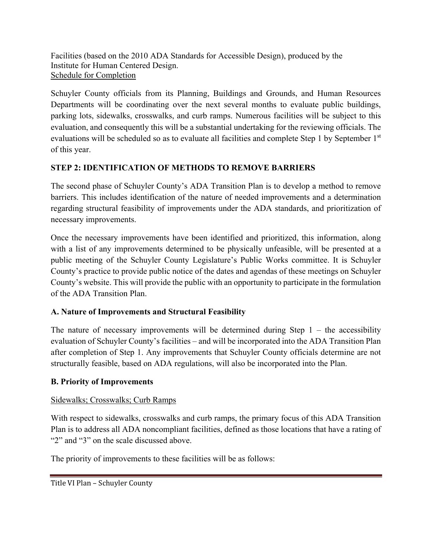Facilities (based on the 2010 ADA Standards for Accessible Design), produced by the Institute for Human Centered Design. Schedule for Completion

Schuyler County officials from its Planning, Buildings and Grounds, and Human Resources Departments will be coordinating over the next several months to evaluate public buildings, parking lots, sidewalks, crosswalks, and curb ramps. Numerous facilities will be subject to this evaluation, and consequently this will be a substantial undertaking for the reviewing officials. The evaluations will be scheduled so as to evaluate all facilities and complete Step 1 by September 1<sup>st</sup> of this year.

## **STEP 2: IDENTIFICATION OF METHODS TO REMOVE BARRIERS**

The second phase of Schuyler County's ADA Transition Plan is to develop a method to remove barriers. This includes identification of the nature of needed improvements and a determination regarding structural feasibility of improvements under the ADA standards, and prioritization of necessary improvements.

Once the necessary improvements have been identified and prioritized, this information, along with a list of any improvements determined to be physically unfeasible, will be presented at a public meeting of the Schuyler County Legislature's Public Works committee. It is Schuyler County's practice to provide public notice of the dates and agendas of these meetings on Schuyler County's website. This will provide the public with an opportunity to participate in the formulation of the ADA Transition Plan.

# **A. Nature of Improvements and Structural Feasibility**

The nature of necessary improvements will be determined during Step  $1 -$  the accessibility evaluation of Schuyler County's facilities – and will be incorporated into the ADA Transition Plan after completion of Step 1. Any improvements that Schuyler County officials determine are not structurally feasible, based on ADA regulations, will also be incorporated into the Plan.

## **B. Priority of Improvements**

## Sidewalks; Crosswalks; Curb Ramps

With respect to sidewalks, crosswalks and curb ramps, the primary focus of this ADA Transition Plan is to address all ADA noncompliant facilities, defined as those locations that have a rating of "2" and "3" on the scale discussed above.

The priority of improvements to these facilities will be as follows: